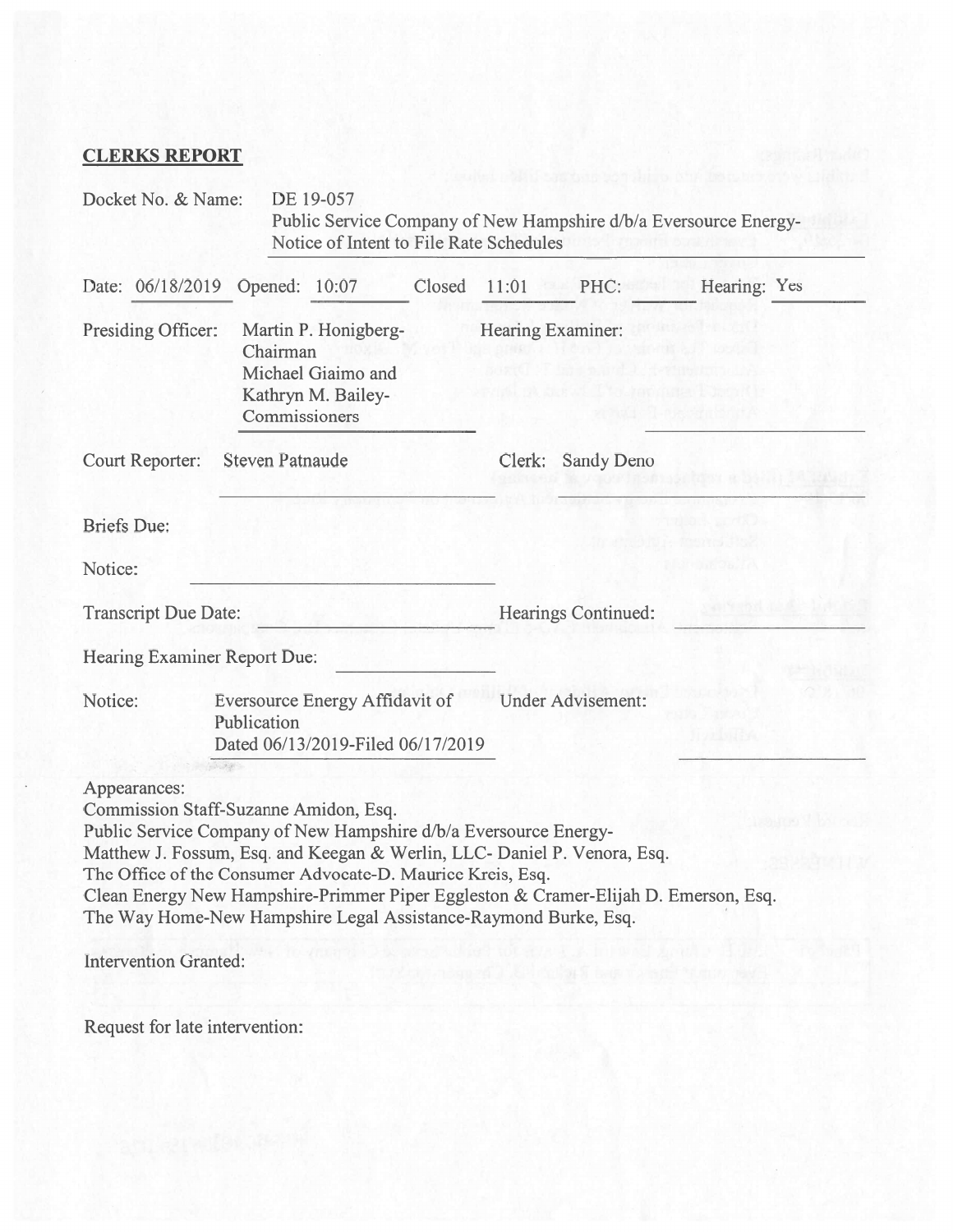# CLERKS REPORT

|                                                  | Docket No. & Name:                                                                            |                                                                                               | DE 19-057<br>Notice of Intent to File Rate Schedules                                                                                                                                                                                       |                             |                   | Public Service Company of New Hampshire d/b/a Eversource Energy-                                                                                                |              |  |
|--------------------------------------------------|-----------------------------------------------------------------------------------------------|-----------------------------------------------------------------------------------------------|--------------------------------------------------------------------------------------------------------------------------------------------------------------------------------------------------------------------------------------------|-----------------------------|-------------------|-----------------------------------------------------------------------------------------------------------------------------------------------------------------|--------------|--|
|                                                  | Date: 06/18/2019 Opened: 10:07                                                                |                                                                                               |                                                                                                                                                                                                                                            | Closed                      | 11:01             | PHC:                                                                                                                                                            | Hearing: Yes |  |
|                                                  | Presiding Officer:                                                                            | Martin P. Honigberg-<br>Chairman<br>Michael Giaimo and<br>Kathryn M. Bailey-<br>Commissioners |                                                                                                                                                                                                                                            |                             | Hearing Examiner: |                                                                                                                                                                 |              |  |
| <b>Court Reporter:</b><br><b>Steven Patnaude</b> |                                                                                               |                                                                                               |                                                                                                                                                                                                                                            | Clerk:<br><b>Sandy Deno</b> |                   |                                                                                                                                                                 |              |  |
| <b>Briefs</b> Due:                               |                                                                                               |                                                                                               |                                                                                                                                                                                                                                            |                             |                   |                                                                                                                                                                 |              |  |
| Notice:                                          |                                                                                               |                                                                                               |                                                                                                                                                                                                                                            |                             |                   |                                                                                                                                                                 |              |  |
| <b>Transcript Due Date:</b>                      |                                                                                               |                                                                                               |                                                                                                                                                                                                                                            |                             |                   | Hearings Continued:                                                                                                                                             |              |  |
|                                                  | Hearing Examiner Report Due:                                                                  |                                                                                               |                                                                                                                                                                                                                                            |                             |                   |                                                                                                                                                                 |              |  |
|                                                  | Notice:<br>Eversource Energy Affidavit of<br>Publication<br>Dated 06/13/2019-Filed 06/17/2019 |                                                                                               |                                                                                                                                                                                                                                            |                             |                   | <b>Under Advisement:</b>                                                                                                                                        |              |  |
|                                                  | Appearances:<br>Intervention Granted:                                                         | $\mathcal{N}_\mathrm{c}$ , $\mathcal{P}_\mathrm{c}$                                           | Commission Staff-Suzanne Amidon, Esq.<br>Public Service Company of New Hampshire d/b/a Eversource Energy-<br>The Office of the Consumer Advocate-D. Maurice Kreis, Esq.<br>The Way Home-New Hampshire Legal Assistance-Raymond Burke, Esq. |                             |                   | Matthew J. Fossum, Esq. and Keegan & Werlin, LLC- Daniel P. Venora, Esq.<br>Clean Energy New Hampshire-Primmer Piper Eggleston & Cramer-Elijah D. Emerson, Esq. |              |  |

Request for late intervention: